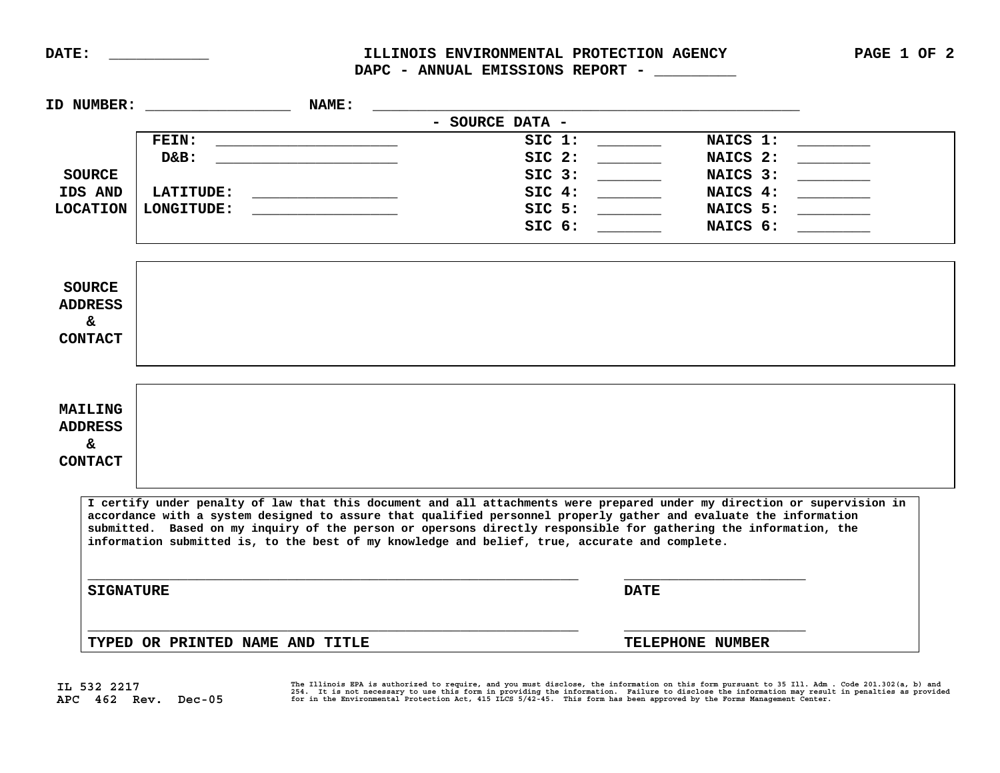**IL 532 2217** 

**APC 462 Rev. Dec-05** 

DAPC - ANNUAL EMISSIONS REPORT - \_\_\_\_\_\_\_\_

| ID NUMBER:                                              | <b>NAME:</b>                    |                                                                                                                                                                                                                                                                                                                                                                                                                                                                     |                   |  |
|---------------------------------------------------------|---------------------------------|---------------------------------------------------------------------------------------------------------------------------------------------------------------------------------------------------------------------------------------------------------------------------------------------------------------------------------------------------------------------------------------------------------------------------------------------------------------------|-------------------|--|
|                                                         |                                 | - SOURCE DATA -                                                                                                                                                                                                                                                                                                                                                                                                                                                     |                   |  |
|                                                         | <b>FEIN:</b>                    | SIC 1:                                                                                                                                                                                                                                                                                                                                                                                                                                                              | NAICS 1:          |  |
|                                                         | $D&B$ :                         | $SIC$ 2:                                                                                                                                                                                                                                                                                                                                                                                                                                                            | NAICS 2:          |  |
| <b>SOURCE</b>                                           |                                 | SIC3:                                                                                                                                                                                                                                                                                                                                                                                                                                                               | NAICS 3: ________ |  |
| IDS AND                                                 | LATITUDE: NATITUDE:             | SIC 4:                                                                                                                                                                                                                                                                                                                                                                                                                                                              | NAICS 4:          |  |
| <b>LOCATION</b>                                         | LONGITUDE:                      | SIC <sub>5</sub> :                                                                                                                                                                                                                                                                                                                                                                                                                                                  | NAICS 5:          |  |
|                                                         |                                 | SIC 6:                                                                                                                                                                                                                                                                                                                                                                                                                                                              | NAICS 6:          |  |
| <b>SOURCE</b><br><b>ADDRESS</b><br>&.<br><b>CONTACT</b> |                                 |                                                                                                                                                                                                                                                                                                                                                                                                                                                                     |                   |  |
| MAILING<br><b>ADDRESS</b><br>&.<br><b>CONTACT</b>       |                                 |                                                                                                                                                                                                                                                                                                                                                                                                                                                                     |                   |  |
|                                                         |                                 | I certify under penalty of law that this document and all attachments were prepared under my direction or supervision in<br>accordance with a system designed to assure that qualified personnel properly gather and evaluate the information<br>submitted. Based on my inquiry of the person or opersons directly responsible for gathering the information, the<br>information submitted is, to the best of my knowledge and belief, true, accurate and complete. |                   |  |
| <b>SIGNATURE</b>                                        |                                 | <b>DATE</b>                                                                                                                                                                                                                                                                                                                                                                                                                                                         |                   |  |
|                                                         | TYPED OR PRINTED NAME AND TITLE |                                                                                                                                                                                                                                                                                                                                                                                                                                                                     | TELEPHONE NUMBER  |  |